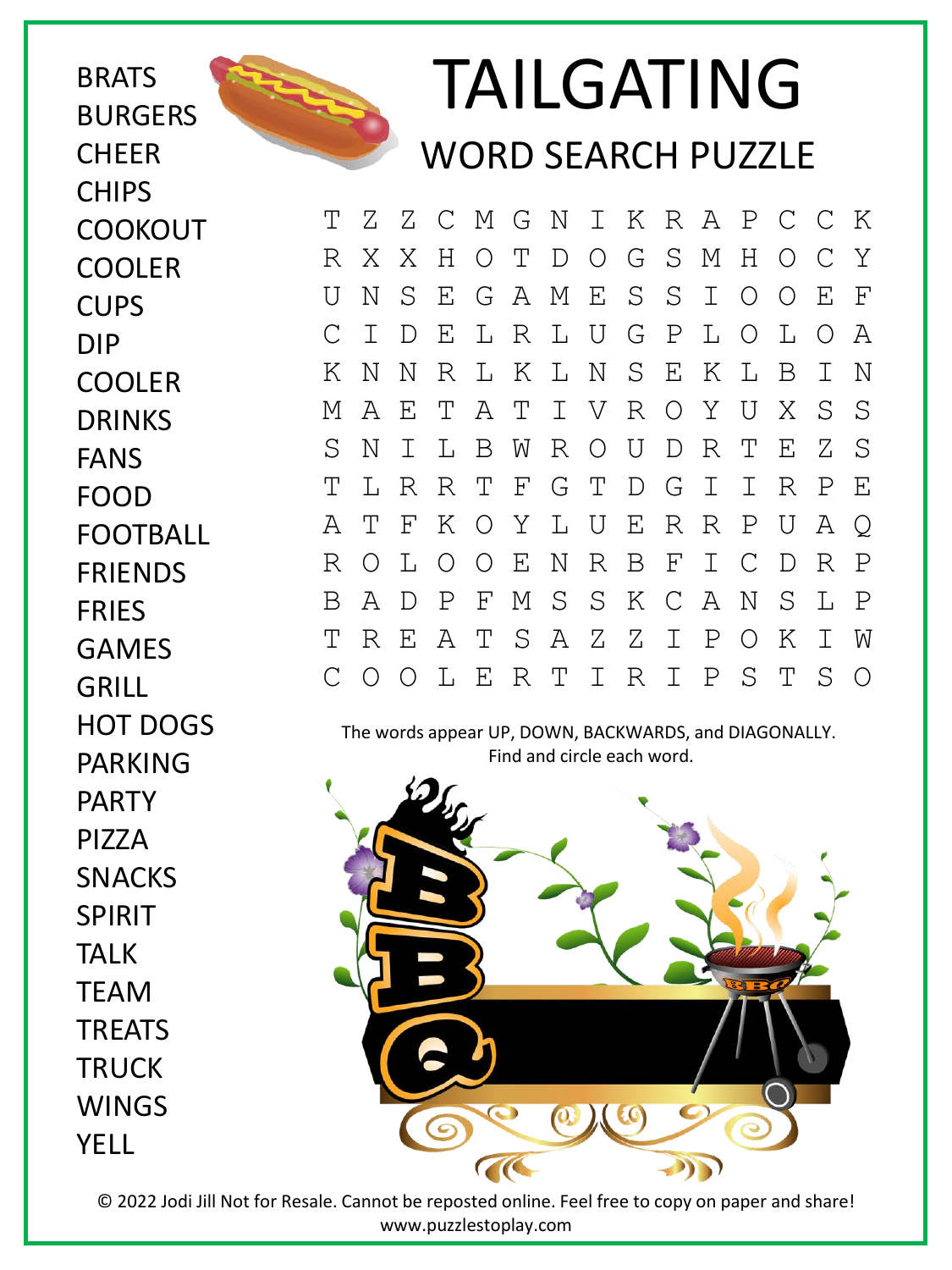**BRATS BURGERS CHEER CHIPS COOKOUT** COOLER **CUPS** DIP COOLER DRINKS FANS FOOD FOOTBALL FRIENDS **FRIFS** GAMES HOT DOGS PARKING



## TAILGATING WORD SEARCH PUZZLE

T Z Z C M G N I K R A P C C K R X X H O T D O G S M H O C Y U N S E G A M E S S I O O E F C I D E L R L U G P L O L O A K N N R L K L N S E K L B I N M A E T A T I V R O Y U X S S S N I L B W R O U D R T E Z S T L R R T F G T D G I I R P E A T F K O Y L U E R R P U A Q R O L O O E N R B F I C D R P B A D P F M S S K C A N S L P T R E A T S A Z Z I P O K I W C O O L E R T I R I P S T S O

The words appear UP, DOWN, BACKWARDS, and DIAGONALLY. Find and circle each word.



GRILL PARTY PIZZA SNACKS SPIRIT TALK **TFAM TRFATS TRUCK WINGS** YELL

> © 2022 Jodi Jill Not for Resale. Cannot be reposted online. Feel free to copy on paper and share! www.puzzlestoplay.com